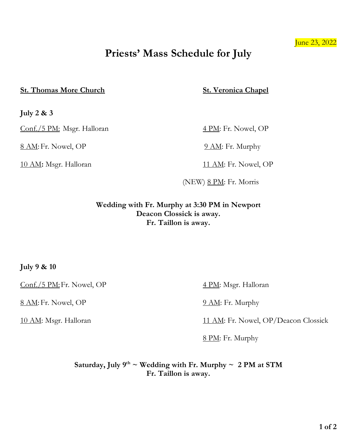### June 23, 2022

# **Priests' Mass Schedule for July**

### **St. Thomas More Church St. Veronica Chapel**

**July 2 & 3**

Conf./5 PM: Msgr. Halloran 4 PM: Fr. Nowel, OP

8 AM: Fr. Nowel, OP 9 AM: Fr. Murphy

10 AM: Msgr. Halloran 11 AM: Fr. Nowel, OP

 $(NEW) 8 PM: Fr. Morris$ 

**Wedding with Fr. Murphy at 3:30 PM in Newport Deacon Clossick is away. Fr. Taillon is away.**

**July 9 & 10**

Conf./5 PM: Fr. Nowel, OP 4 PM: Msgr. Halloran

8 AM: Fr. Nowel, OP 9 AM: Fr. Murphy

10 AM: Msgr. Halloran 11 AM: Fr. Nowel, OP/Deacon Clossick

8 PM: Fr. Murphy

Saturday, July  $9^{th}$  ~ Wedding with Fr. Murphy ~ 2 PM at STM **Fr. Taillon is away.**